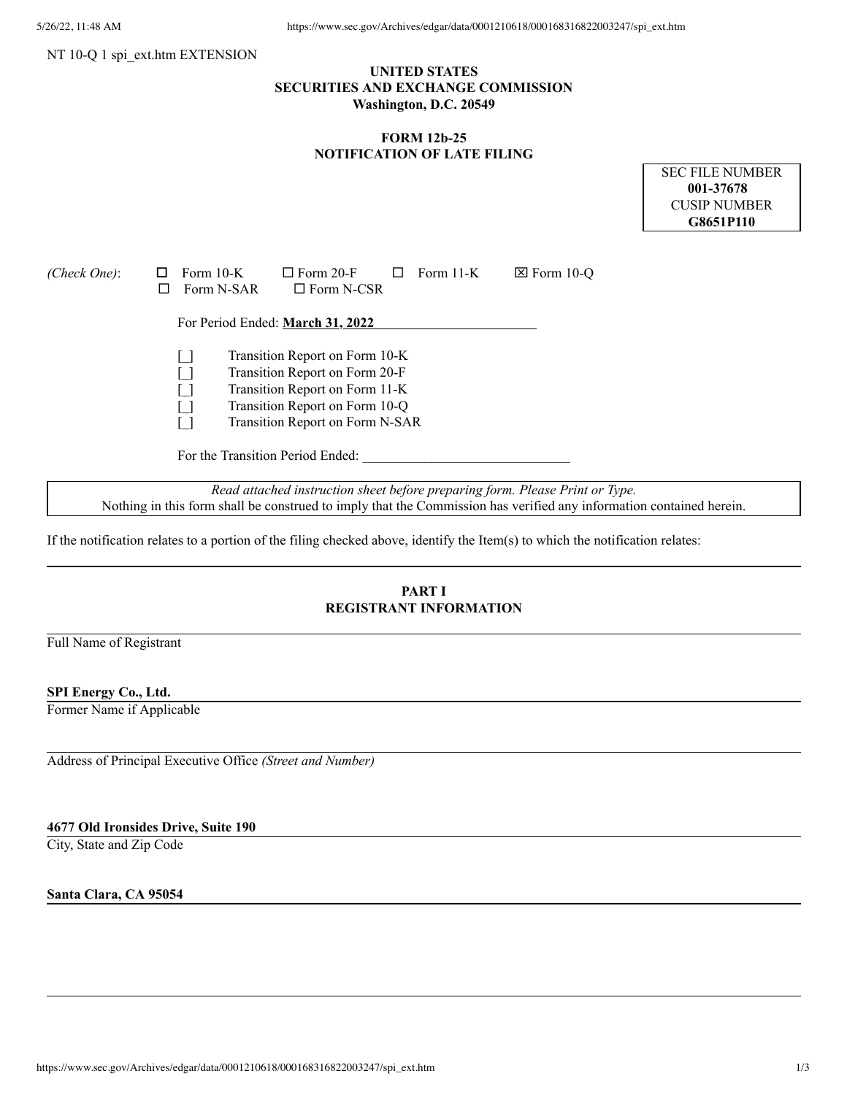#### NT 10-O 1 spi\_ext.htm EXTENSION

## **UNITED STATES SECURITIES AND EXCHANGE COMMISSION Washington, D.C. 20549**

### **FORM 12b-25 NOTIFICATION OF LATE FILING**

SEC FILE NUMBER **001-37678** CUSIP NUMBER **G8651P110**

| (Check One): | Form $10-K$<br>$\Box$ Form 20-F<br>Form $11-K$<br>$\boxtimes$ Form 10-O<br>Form N-SAR<br>$\Box$ Form N-CSR                                                              |
|--------------|-------------------------------------------------------------------------------------------------------------------------------------------------------------------------|
|              | For Period Ended: March 31, 2022                                                                                                                                        |
|              | Transition Report on Form 10-K<br>Transition Report on Form 20-F<br>Transition Report on Form 11-K<br>Transition Report on Form 10-Q<br>Transition Report on Form N-SAR |
|              | For the Transition Period Ended:                                                                                                                                        |
|              | Read attached instruction sheet before preparing form. Please Print or Type.                                                                                            |

Nothing in this form shall be construed to imply that the Commission has verified any information contained herein.

If the notification relates to a portion of the filing checked above, identify the Item(s) to which the notification relates:

# **PART I REGISTRANT INFORMATION**

Full Name of Registrant

#### **SPI Energy Co., Ltd.**

Former Name if Applicable

Address of Principal Executive Office *(Street and Number)*

#### **4677 Old Ironsides Drive, Suite 190**

City, State and Zip Code

**Santa Clara, CA 95054**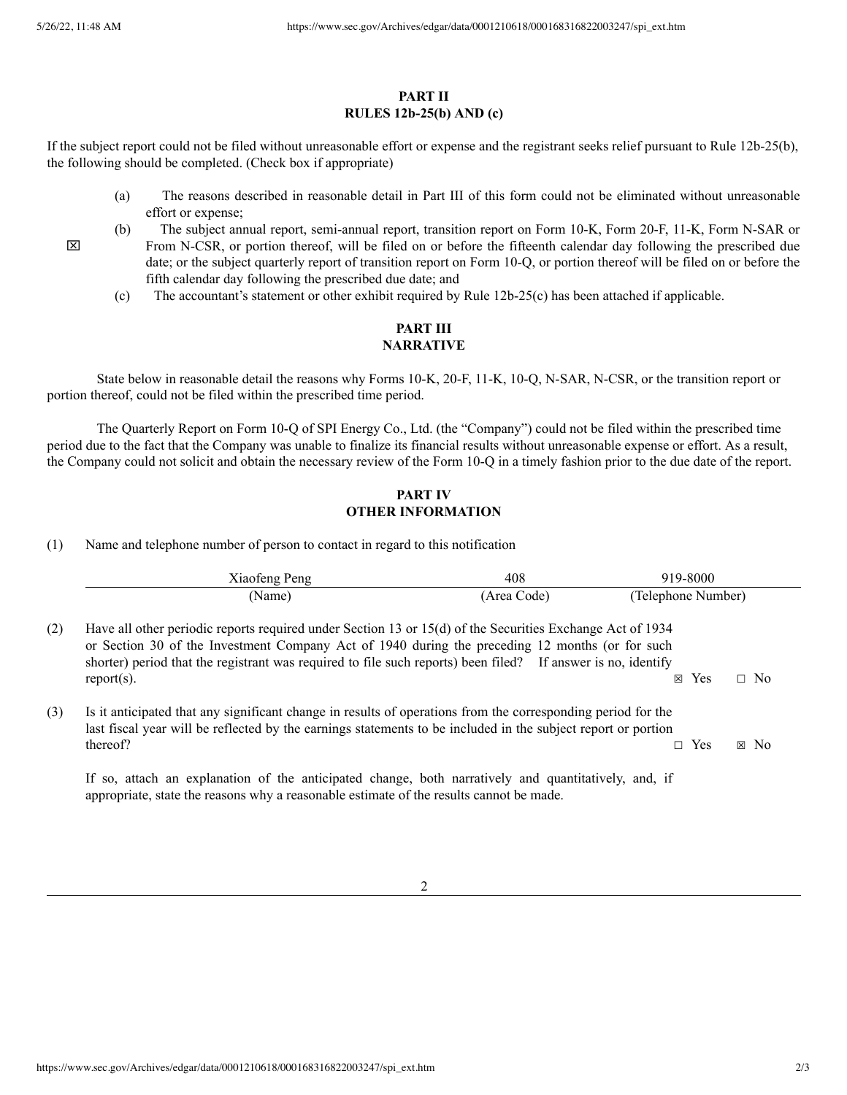$\boxtimes$ 

#### **PART II RULES 12b-25(b) AND (c)**

If the subject report could not be filed without unreasonable effort or expense and the registrant seeks relief pursuant to Rule 12b-25(b), the following should be completed. (Check box if appropriate)

- (a) The reasons described in reasonable detail in Part III of this form could not be eliminated without unreasonable effort or expense;
- (b) The subject annual report, semi-annual report, transition report on Form 10-K, Form 20-F, 11-K, Form N-SAR or From N-CSR, or portion thereof, will be filed on or before the fifteenth calendar day following the prescribed due date; or the subject quarterly report of transition report on Form 10-Q, or portion thereof will be filed on or before the fifth calendar day following the prescribed due date; and
	- (c) The accountant's statement or other exhibit required by Rule 12b-25(c) has been attached if applicable.

# **PART III NARRATIVE**

State below in reasonable detail the reasons why Forms 10-K, 20-F, 11-K, 10-Q, N-SAR, N-CSR, or the transition report or portion thereof, could not be filed within the prescribed time period.

The Quarterly Report on Form 10-Q of SPI Energy Co., Ltd. (the "Company") could not be filed within the prescribed time period due to the fact that the Company was unable to finalize its financial results without unreasonable expense or effort. As a result, the Company could not solicit and obtain the necessary review of the Form 10-Q in a timely fashion prior to the due date of the report.

#### **PART IV OTHER INFORMATION**

(1) Name and telephone number of person to contact in regard to this notification

|     | Xiaofeng Peng                                                                                                                                                                                                                                                                                                                                 | 408         | 919-8000                        |
|-----|-----------------------------------------------------------------------------------------------------------------------------------------------------------------------------------------------------------------------------------------------------------------------------------------------------------------------------------------------|-------------|---------------------------------|
|     | (Name)                                                                                                                                                                                                                                                                                                                                        | (Area Code) | (Telephone Number)              |
| (2) | Have all other periodic reports required under Section 13 or 15(d) of the Securities Exchange Act of 1934<br>or Section 30 of the Investment Company Act of 1940 during the preceding 12 months (or for such<br>shorter) period that the registrant was required to file such reports) been filed? If answer is no, identify<br>$report(s)$ . |             | $\Box$ No<br>Yes<br>$\boxtimes$ |
| (3) | Is it anticipated that any significant change in results of operations from the corresponding period for the<br>last fiscal year will be reflected by the earnings statements to be included in the subject report or portion<br>thereof?                                                                                                     |             | $\Box$ Yes<br>$\boxtimes$ No    |
|     | If so, attach an explanation of the anticipated change, both narratively and quantitatively, and, if<br>appropriate, state the reasons why a reasonable estimate of the results cannot be made.                                                                                                                                               |             |                                 |

2